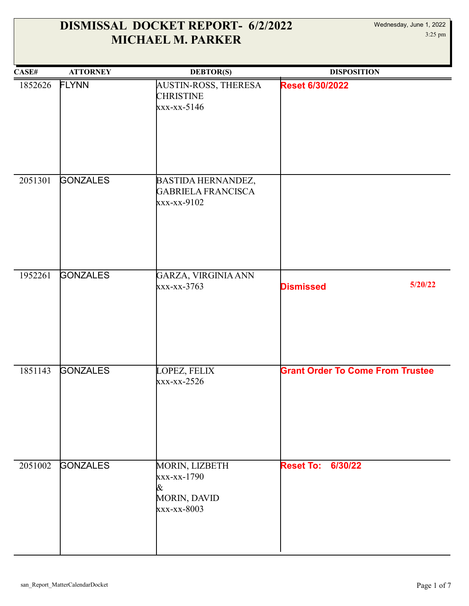| CASE#   | <b>ATTORNEY</b> | <b>DEBTOR(S)</b>                                                         | <b>DISPOSITION</b>                      |
|---------|-----------------|--------------------------------------------------------------------------|-----------------------------------------|
| 1852626 | <b>FLYNN</b>    | AUSTIN-ROSS, THERESA<br><b>CHRISTINE</b><br>$xxx-xx-5146$                | <b>Reset 6/30/2022</b>                  |
| 2051301 | <b>GONZALES</b> | BASTIDA HERNANDEZ,<br><b>GABRIELA FRANCISCA</b><br>xxx-xx-9102           |                                         |
| 1952261 | <b>GONZALES</b> | GARZA, VIRGINIA ANN<br>$XXX-XX-3763$                                     | 5/20/22<br><b>Dismissed</b>             |
| 1851143 | <b>GONZALES</b> | LOPEZ, FELIX<br>$\frac{xx}{x-x}-2526$                                    | <b>Grant Order To Come From Trustee</b> |
| 2051002 | <b>GONZALES</b> | MORIN, LIZBETH<br>xxx-xx-1790<br>&<br><b>MORIN, DAVID</b><br>xxx-xx-8003 | <b>Reset To: 6/30/22</b>                |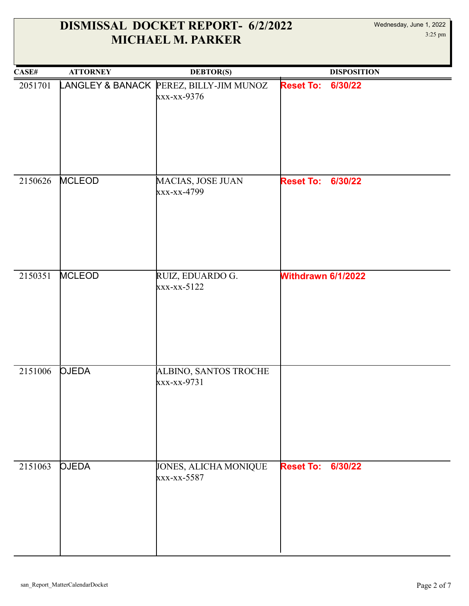| CASE#   | <b>ATTORNEY</b>  | <b>DEBTOR(S)</b>                           | <b>DISPOSITION</b>          |
|---------|------------------|--------------------------------------------|-----------------------------|
| 2051701 | LANGLEY & BANACK | PEREZ, BILLY-JIM MUNOZ<br>xxx-xx-9376      | <b>Reset To:</b><br>6/30/22 |
| 2150626 | <b>MCLEOD</b>    | MACIAS, JOSE JUAN<br>xxx-xx-4799           | <b>Reset To: 6/30/22</b>    |
| 2150351 | <b>MCLEOD</b>    | RUIZ, EDUARDO G.<br>$\frac{x}{x-x-x-5122}$ | Withdrawn 6/1/2022          |
| 2151006 | <b>OJEDA</b>     | ALBINO, SANTOS TROCHE<br>xxx-xx-9731       |                             |
| 2151063 | <b>QJEDA</b>     | JONES, ALICHA MONIQUE<br>xxx-xx-5587       | <b>Reset To: 6/30/22</b>    |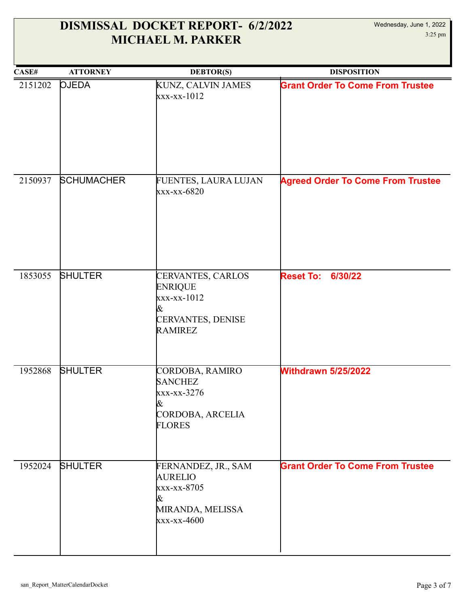| CASE#   | <b>ATTORNEY</b>   | <b>DEBTOR(S)</b>                                                                                        | <b>DISPOSITION</b>                       |
|---------|-------------------|---------------------------------------------------------------------------------------------------------|------------------------------------------|
| 2151202 | <b>OJEDA</b>      | KUNZ, CALVIN JAMES<br>$\frac{xx - xx - 1012}{x - x}$                                                    | <b>Grant Order To Come From Trustee</b>  |
| 2150937 | <b>SCHUMACHER</b> | FUENTES, LAURA LUJAN<br>xxx-xx-6820                                                                     | <b>Agreed Order To Come From Trustee</b> |
| 1853055 | <b>SHULTER</b>    | CERVANTES, CARLOS<br><b>ENRIQUE</b><br>$\frac{x}{x-x-1012}$<br>&<br>CERVANTES, DENISE<br><b>RAMIREZ</b> | <b>Reset To:</b><br>6/30/22              |
| 1952868 | <b>SHULTER</b>    | CORDOBA, RAMIRO<br><b>SANCHEZ</b><br>xxx-xx-3276<br>&<br>CORDOBA, ARCELIA<br><b>FLORES</b>              | <b>Withdrawn 5/25/2022</b>               |
| 1952024 | <b>SHULTER</b>    | FERNANDEZ, JR., SAM<br><b>AURELIO</b><br>xxx-xx-8705<br>&<br>MIRANDA, MELISSA<br>xxx-xx-4600            | <b>Grant Order To Come From Trustee</b>  |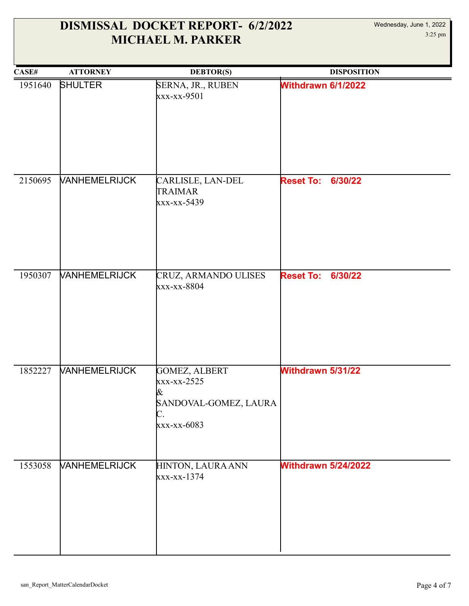| CASE#   | <b>ATTORNEY</b>             | <b>DEBTOR(S)</b>                                                                | <b>DISPOSITION</b>          |
|---------|-----------------------------|---------------------------------------------------------------------------------|-----------------------------|
| 1951640 | <b>SHULTER</b>              | SERNA, JR., RUBEN<br>xxx-xx-9501                                                | Withdrawn 6/1/2022          |
| 2150695 | <b>VANHEMELRIJCK</b>        | CARLISLE, LAN-DEL<br><b>TRAIMAR</b><br>xxx-xx-5439                              | 6/30/22<br><b>Reset To:</b> |
| 1950307 | <b>VANHEMELRIJCK</b>        | CRUZ, ARMANDO ULISES<br>xxx-xx-8804                                             | <b>Reset To:</b><br>6/30/22 |
| 1852227 | <b>VANHEMELRIJCK</b>        | GOMEZ, ALBERT<br>xxx-xx-2525<br>&<br>SANDOVAL-GOMEZ, LAURA<br>C.<br>xxx-xx-6083 | Withdrawn 5/31/22           |
| 1553058 | <b><i>VANHEMELRIJCK</i></b> | HINTON, LAURA ANN<br>xxx-xx-1374                                                | <b>Withdrawn 5/24/2022</b>  |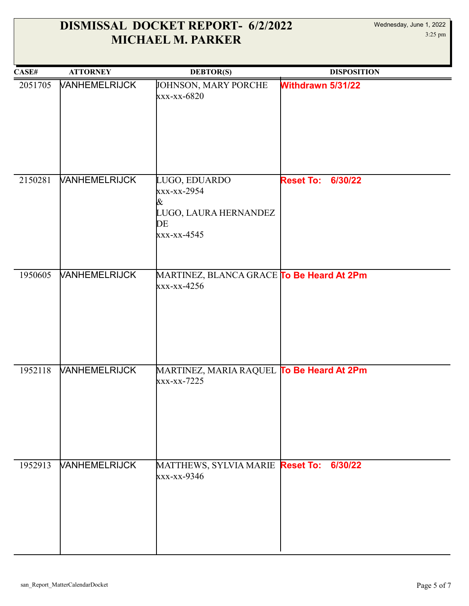| CASE#   | <b>ATTORNEY</b>             | <b>DEBTOR(S)</b>                                                                 | <b>DISPOSITION</b>          |
|---------|-----------------------------|----------------------------------------------------------------------------------|-----------------------------|
| 2051705 | <b>VANHEMELRIJCK</b>        | JOHNSON, MARY PORCHE<br>xxx-xx-6820                                              | Withdrawn 5/31/22           |
| 2150281 | <b>VANHEMELRIJCK</b>        | LUGO, EDUARDO<br>xxx-xx-2954<br>&<br>LUGO, LAURA HERNANDEZ<br>DE<br>xxx-xx-4545  | <b>Reset To:</b><br>6/30/22 |
| 1950605 | <b>VANHEMELRIJCK</b>        | MARTINEZ, BLANCA GRACE <mark>To Be Heard At 2Pm</mark><br>$\frac{x}{x-x-x-4256}$ |                             |
| 1952118 | <b><i>VANHEMELRIJCK</i></b> | MARTINEZ, MARIA RAQUEL <b>To Be Heard At 2Pm</b><br>xxx-xx-7225                  |                             |
| 1952913 | <b><i>VANHEMELRIJCK</i></b> | MATTHEWS, SYLVIA MARIE Reset To:<br>xxx-xx-9346                                  | 6/30/22                     |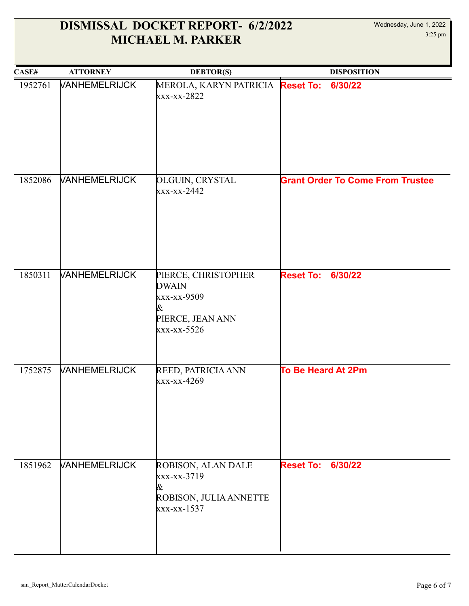| CASE#   | <b>ATTORNEY</b>             | <b>DEBTOR(S)</b>                                                                           | <b>DISPOSITION</b>                      |
|---------|-----------------------------|--------------------------------------------------------------------------------------------|-----------------------------------------|
| 1952761 | <b>VANHEMELRIJCK</b>        | MEROLA, KARYN PATRICIA Reset To:<br>xxx-xx-2822                                            | 6/30/22                                 |
| 1852086 | <b>VANHEMELRIJCK</b>        | <b>OLGUIN, CRYSTAL</b><br>xxx-xx-2442                                                      | <b>Grant Order To Come From Trustee</b> |
| 1850311 | <b><i>VANHEMELRIJCK</i></b> | PIERCE, CHRISTOPHER<br><b>DWAIN</b><br>xxx-xx-9509<br>&<br>PIERCE, JEAN ANN<br>xxx-xx-5526 | <b>Reset To:</b><br>6/30/22             |
| 1752875 | <b>VANHEMELRIJCK</b>        | REED, PATRICIA ANN<br>xxx-xx-4269                                                          | <b>To Be Heard At 2Pm</b>               |
| 1851962 | <b><i>NANHEMELRIJCK</i></b> | ROBISON, ALAN DALE<br>xxx-xx-3719<br>&<br>ROBISON, JULIA ANNETTE<br>xxx-xx-1537            | <b>Reset To:</b><br>6/30/22             |